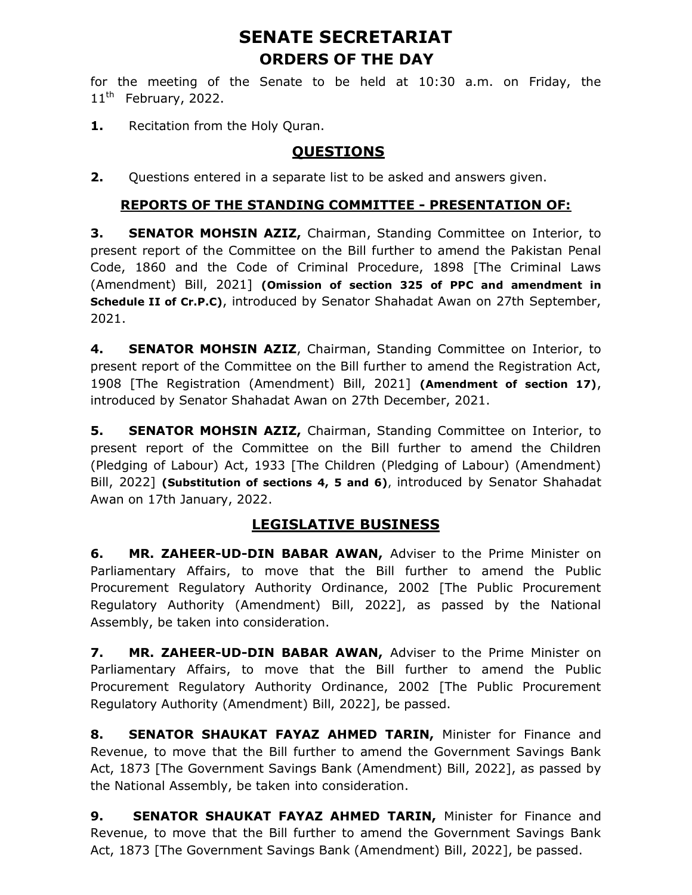# SENATE SECRETARIAT ORDERS OF THE DAY

for the meeting of the Senate to be held at 10:30 a.m. on Friday, the  $11<sup>th</sup>$  February, 2022.

1. Recitation from the Holy Quran.

## **OUESTIONS**

**2.** Questions entered in a separate list to be asked and answers given.

#### REPORTS OF THE STANDING COMMITTEE - PRESENTATION OF:

**3. SENATOR MOHSIN AZIZ, Chairman, Standing Committee on Interior, to** present report of the Committee on the Bill further to amend the Pakistan Penal Code, 1860 and the Code of Criminal Procedure, 1898 [The Criminal Laws (Amendment) Bill, 2021] (Omission of section 325 of PPC and amendment in Schedule II of Cr.P.C), introduced by Senator Shahadat Awan on 27th September, 2021.

4. **SENATOR MOHSIN AZIZ**, Chairman, Standing Committee on Interior, to present report of the Committee on the Bill further to amend the Registration Act, 1908 [The Registration (Amendment) Bill, 2021] (Amendment of section 17), introduced by Senator Shahadat Awan on 27th December, 2021.

**5.** SENATOR MOHSIN AZIZ, Chairman, Standing Committee on Interior, to present report of the Committee on the Bill further to amend the Children (Pledging of Labour) Act, 1933 [The Children (Pledging of Labour) (Amendment) Bill, 2022] (Substitution of sections 4, 5 and 6), introduced by Senator Shahadat Awan on 17th January, 2022.

## LEGISLATIVE BUSINESS

6. MR. ZAHEER-UD-DIN BABAR AWAN, Adviser to the Prime Minister on Parliamentary Affairs, to move that the Bill further to amend the Public Procurement Regulatory Authority Ordinance, 2002 [The Public Procurement Regulatory Authority (Amendment) Bill, 2022], as passed by the National Assembly, be taken into consideration.

7. MR. ZAHEER-UD-DIN BABAR AWAN, Adviser to the Prime Minister on Parliamentary Affairs, to move that the Bill further to amend the Public Procurement Regulatory Authority Ordinance, 2002 [The Public Procurement Regulatory Authority (Amendment) Bill, 2022], be passed.

8. SENATOR SHAUKAT FAYAZ AHMED TARIN, Minister for Finance and Revenue, to move that the Bill further to amend the Government Savings Bank Act, 1873 [The Government Savings Bank (Amendment) Bill, 2022], as passed by the National Assembly, be taken into consideration.

9. SENATOR SHAUKAT FAYAZ AHMED TARIN, Minister for Finance and Revenue, to move that the Bill further to amend the Government Savings Bank Act, 1873 [The Government Savings Bank (Amendment) Bill, 2022], be passed.